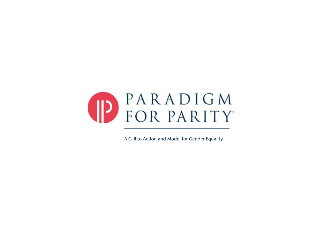

A Call to Action and Model for Gender Equality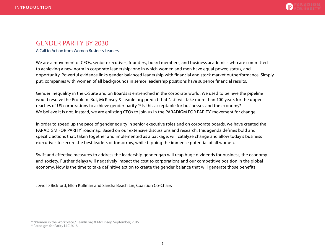

# GENDER PARITY BY 2030

A Call to Action from Women Business Leaders

We are a movement of CEOs, senior executives, founders, board members, and business academics who are committed to achieving a new norm in corporate leadership: one in which women and men have equal power, status, and opportunity. Powerful evidence links gender-balanced leadership with financial and stock market outperformance. Simply put, companies with women of all backgrounds in senior leadership positions have superior financial results.

Gender inequality in the C-Suite and on Boards is entrenched in the corporate world. We used to believe the pipeline would resolve the Problem. But, McKinsey & LeanIn.org predict that "…it will take more than 100 years for the upper reaches of US corporations to achieve gender parity."\* Is this acceptable for businesses and the economy? We believe it is not. Instead, we are enlisting CEOs to join us in the PARADIGM FOR PARITY° movement for change.

In order to speed up the pace of gender equity in senior executive roles and on corporate boards, we have created the PARADIGM FOR PARITY° roadmap. Based on our extensive discussions and research, this agenda defines bold and specific actions that, taken together and implemented as a package, will catalyze change and allow today's business executives to secure the best leaders of tomorrow, while tapping the immense potential of all women.

Swift and effective measures to address the leadership gender gap will reap huge dividends for business, the economy and society. Further delays will negatively impact the cost to corporations and our competitive position in the global economy. Now is the time to take definitive action to create the gender balance that will generate those benefits.

Jewelle Bickford, Ellen Kullman and Sandra Beach Lin, Coalition Co-Chairs

<sup>\* &</sup>quot;Women in the Workplace," LeanIn.org & McKinsey, September, 2015

<sup>®</sup> Paradigm for Parity LLC 2018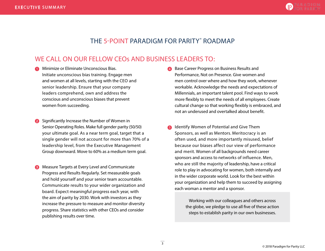# THE 5-POINT PARADIGM FOR PARITY® ROADMAP

# WE CALL ON OUR FELLOW CEOs AND BUSINESS LEADERS TO:

- **C** Minimize or Eliminate Unconscious Bias. Initiate unconscious bias training. Engage men and women at all levels, starting with the CEO and senior leadership. Ensure that your company leaders comprehend, own and address the conscious and unconscious biases that prevent women from succeeding.
- **2** Significantly Increase the Number of Women in Senior Operating Roles. Make full gender parity (50/50) your ultimate goal. As a near term goal, target that a single gender will not account for more than 70% of a leadership level, from the Executive Management Group downward. Move to 60% as a medium term goal.
- Measure Targets at Every Level and Communicate Progress and Results Regularly. Set measurable goals and hold yourself and your senior team accountable. Communicate results to your wider organization and board. Expect meaningful progress each year, with the aim of parity by 2030. Work with investors as they increase the pressure to measure and monitor diversity progress. Share statistics with other CEOs and consider publishing results over time.
- **4** Base Career Progress on Business Results and Performance, Not on Presence. Give women and men control over where and how they work, whenever workable. Acknowledge the needs and expectations of Millennials, an important talent pool. Find ways to work more flexibly to meet the needs of all employees. Create cultural change so that working flexibly is embraced, and not an underused and overtalked about benefit.
- **5** Identify Women of Potential and Give Them Sponsors, as well as Mentors. Meritocracy is an often used, and more importantly misused, belief because our biases affect our view of performance and merit. Women of all backgrounds need career sponsors and access to networks of influence. Men, who are still the majority of leadership, have a critical role to play in advocating for women, both internally and in the wider corporate world. Look for the best within your organization and help them to succeed by assigning each woman a mentor and a sponsor.

Working with our colleagues and others across the globe, we pledge to use all five of these action steps to establish parity in our own businesses.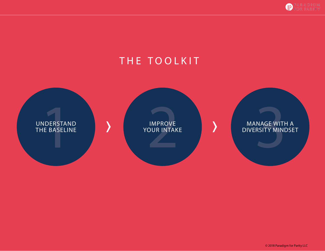

# THE TOOLKIT



© 2018 Paradigm for Parity LLC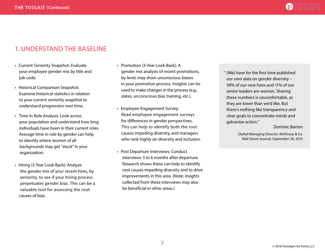

# 1. UNDERSTAND THE BASELINE

- Current Seniority Snapshot: Evaluate your employee gender mix by title and job code.
- Historical Comparison Snapshot: Examine historical statistics in relation to your current seniority snapshot to understand progression over time.
- Time In Role Analysis: Look across your population and understand how long individuals have been in their current roles. Average time in role by gender can help to identify where women of all backgrounds may get "stuck" in your organization.
- Hiring (3-Year Look-Back): Analyze the gender mix of your recent hires, by seniority, to see if your hiring process perpetuates gender bias. This can be a valuable tool for assessing the root causes of bias.
- Promotion (3-Year Look-Back): A gender mix analysis of recent promotions, by level, may show unconscious biases in your promotion process. Insights can be used to make changes in the process (e.g., slates, unconscious bias training, etc.).
- Employee Engagement Survey: Read employee engagement surveys for differences in gender perspectives. This can help to identify both the root causes impeding diversity, and managers who rank highly on diversity and inclusion.
- Post Departure Interviews: Conduct interviews 3 to 6 months after departure. Research shows these can help to identify root causes impeding diversity and to drive improvements in this area. (Note: insights collected from these interviews may also be beneficial in other areas.)

" [We] have for the first time published our own data on gender diversity – 39% of our new hires and 11% of our senior leaders are women. Sharing these numbers is uncomfortable, as they are lower than we'd like. But there's nothing like transparency and clear goals to concentrate minds and galvanize action."

#### Dominic Barton

Global Managing Director, McKinsey & Co. Wall Street Journal, September 30, 2015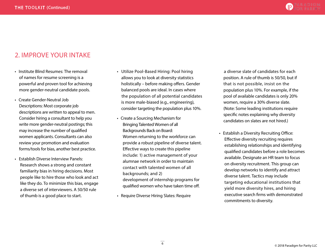

# 2. IMPROVE YOUR INTAKE

- Institute Blind Resumes: The removal of names for resume screening is a powerful and proven tool for achieving more gender-neutral candidate pools.
- Create Gender-Neutral Job Descriptions: Most corporate job descriptions are written to appeal to men. Consider hiring a consultant to help you write more gender-neutral postings; this may increase the number of qualified women applicants. Consultants can also review your promotion and evaluation forms/tools for bias, another best practice.
- Establish Diverse Interview Panels: Research shows a strong and constant familiarity bias in hiring decisions. Most people like to hire those who look and act like they do. To minimize this bias, engage a diverse set of interviewers. A 50/50 rule of thumb is a good place to start.
- Utilize Pool-Based Hiring: Pool hiring allows you to look at diversity statistics holistically – before making offers. Gender balanced pools are ideal. In cases where the population of all potential candidates is more male-biased (e.g., engineering), consider targeting the population plus 10%.
- Create a Sourcing Mechanism for Bringing Talented Women of all Backgrounds Back on Board: Women returning to the workforce can provide a robust pipeline of diverse talent. Effective ways to create this pipeline include: 1) active management of your alumnae network in order to maintain contact with talented women of all backgrounds; and 2) development of internship programs for qualified women who have taken time off.
- Require Diverse Hiring Slates: Require

 a diverse slate of candidates for each position. A rule of thumb is 50/50, but if that is not possible, insist on the population plus 10%. For example, if the pool of available candidates is only 20% women, require a 30% diverse slate. (Note: Some leading institutions require specific notes explaining why diversity candidates on slates are not hired.)

• Establish a Diversity Recruiting Office: Effective diversity recruiting requires establishing relationships and identifying qualified candidates before a role becomes available. Designate an HR team to focus on diversity recruitment. This group can develop networks to identify and attract diverse talent. Tactics may include targeting educational institutions that yield more diversity hires, and hiring executive search firms with demonstrated commitments to diversity.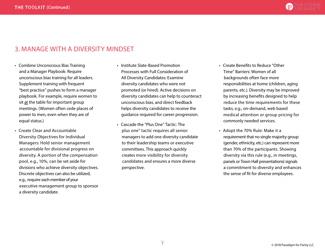

# 3. MANAGE WITH A DIVERSITY MINDSET

- Combine Unconscious Bias Training and a Manager Playbook: Require unconscious bias training for all leaders. Supplement training with frequent "best practice" pushes to form a manager playbook. For example, require women to sit at the table for important group meetings. (Women often cede places of power to men, even when they are of equal status.)
- Create Clear and Accountable Diversity Objectives for Individual Managers: Hold senior management accountable for divisional progress on diversity. A portion of the compensation pool, e.g., 10%, can be set aside for divisions who achieve diversity objectives. Discrete objectives can also be utilized, e.g., require each member of your executive management group to sponsor a diversity candidate.
- Institute Slate-Based Promotion Processes with Full Consideration of All Diversity Candidates: Examine diversity candidates who were not promoted (or hired). Active decisions on diversity candidates can help to counteract unconscious bias, and direct feedback helps diversity candidates to receive the guidance required for career progression.
- Cascade the "Plus One" Tactic: The plus one" tactic requires all senior managers to add one diversity candidate to their leadership teams or executive committees. This approach quickly creates more visibility for diversity candidates and ensures a more diverse perspective.
- Create Benefits to Reduce "Other Time" Barriers: Women of all backgrounds often face more responsibilities at home (children, aging parents, etc.). Diversity may be improved by increasing benefits designed to help reduce the time requirements for these tasks, e.g., on-demand, web based medical attention or group pricing for commonly needed services.
- Adopt the 70% Rule: Make it a requirement that no single majority group (gender, ethnicity, etc.) can represent more than 70% of the participants. Showing diversity via this rule (e.g., in meetings, panels or Town Hall presentations) signals a commitment to diversity and enhances the sense of fit for diverse employees.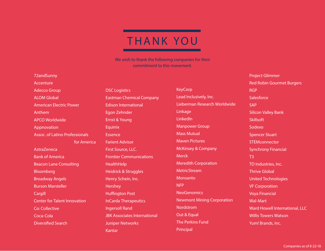# **THANK YOU**

We wish to thank the following companies for their commitment to this movement.

### 72andSunny

Accenture Adecco Group ALOM Global American Electric Power Anthem APCO Worldwide Appnovation Assoc. of Latino Professionals for America AstraZeneca Bank of America Beacon Lane Consulting Bloomberg Broadway Angels Burson Marsteller Cargill Center for Talent Innovation Co: Collective Coca-Cola Diversified Search

DSC Logistics Eastman Chemical Company Edison International Egon Zehnder Ernst & Young Equinix Essence Farient Advisor First Source, LLC. Frontier Communications **HealthHelp** Heidrick & Struggles Henry Schein, Inc. **Hershey** Huffington Post InCarda Therapeutics Ingersoll Rand JBK Associates International Juniper Networks Kantar

**KeyCorp** Lead Inclusively, Inc. Lieberman Research Worldwide Linkage LinkedIn Manpower Group Mass Mutual Maven Pictures McKinsey & Company **Merck** Meredith Corporation **MetricStream** Monsanto NFP **NeoGenomics** Newmont Mining Corporation **Nordstrom** Out & Equal The Perkins Fund Principal

Project Glimmer Red Robin Gourmet Burgers RGP **Salesforce** SAP Silicon Valley Bank **Skillsoft** Sodexo Spencer Stuart **STEMconnector** Synchrony Financial T3 TD Industries, Inc. Thrive Global United Technologies VF Corporation Voya Financial Wal-Mart Ward Howell International, LLC Willis Towers Watson Yum! Brands, Inc.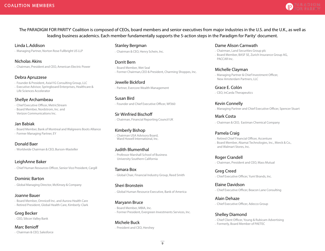

# The PARADIGM FOR PARITY° Coalition is composed of CEOs, board members and senior executives from major industries in the U.S. and the U.K., as well as leading business academics. Each member fundamentally supports the 5-action steps in the Paradigm for Parity° document.

### Linda L.Addison

• Managing Partner, Norton Rose Fullbright US LLP

### Nicholas Akins

• Chairman, President and CEO, American Electric Power

### Debra Apruzzese

- Founder & President, Axia11G Consulting Group, LLC
- Executive Advisor, Springboard Enterprises, Healthcare & Life Sciences Accelerator

### Shellye Archambeau

- Chief Executive Officer, MetricStream
- Board Member, Nordstrom, Inc. and Verizon Communications Inc.

### Jan Babiak

• Board Member, Bank of Montreal and Walgreens Boots Alliance

• Former Managing Partner, EY

Donald Baer • Worldwide Chairman & CEO, Burson-Masteller

# LeighAnne Baker

• Chief Human Resources Officer, Senior Vice President, Cargill

### Dominic Barton

• Global Managing Director, McKinsey & Company

### Joanne Bauer

- Board Member, Omnicell Inc. and Aurora Health Care
- Retired President, Global Health Care, Kimberly-Clark

### Greg Becker

• CEO, Silicon Valley Bank

# Marc Benioff

• Chairman & CEO, Salesforce

### Stanley Bergman

• Chairman & CEO, Henry Schein, Inc.

### Dorrit Bern

• Board Member, Wet Seal • Former Chairman, CEO & President, Charming Shoppes, Inc.

### Jewelle Bickford

• Partner, Evercore Wealth Management

### Susan Bird

• Founder and Chief Executive Officer, Wf360

### Sir Winfried Bischoff

• Chairman, Financial Reporting Council UK

### Kimberly Bishop

• Chairman USA Advisory Board, Ward Howell International, Inc.

### Judith Blumenthal

• Professor Marshall School of Business University Southern California

Tamara Box • Global Chair, Financial Industry Group, Reed Smith

### Sheri Bronstein

• Global Human Resource Executive, Bank of America

### Maryann Bruce

• Board Member, MBIA, Inc. • Former President, Evergreen Investments Services, Inc.

# Michele Buck

• President and CEO, Hershey

### Dame Alison Carnwath

• Chairman, Land Securities Group plc • Board Member, BASF SE, Zurich Insurance Group AG, PACCAR Inc.

# Michelle Clayman

• Managing Partner & Chief Investment Officer, New Amsterdam Partners, LLC

#### Grace E. Colón • CEO, InCarda Therapeutics

Kevin Connelly • Managing Partner and Chief Executive Officer, Spencer Stuart

### Mark Costa • Chairman & CEO, Eastman Chemical Company

# Pamela Craig

- Retired Chief Financial Officer, Accenture
- Board Member, Akamai Technologies, Inc., Merck & Co., and Walmart Stores, Inc.

#### Roger Crandell • Chairman, President and CEO, Mass Mutual

Greg Creed • Chief Executive Officer, Yum! Brands, Inc.

#### Elaine Davidson • Chief Executive Officer, Beacon Lane Consulting

#### Alain Dehaze • Chief Executive Officer, Adecco Group

### Shelley Diamond

• Chief Client Officer, Young & Rubicam Advertising • Formerly, Board Member of PAETEC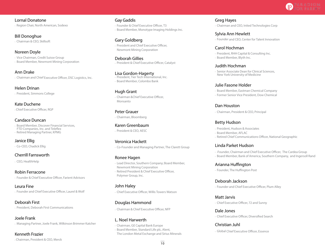

Lornal Donatone • Region Chair, North American, Sodexo

Bill Donoghue • Chairman & CEO, Skillsoft

Noreen Doyle • Vice Chairman, Credit Suisse Group • Board Member, Newmont Mining Corporation

Ann Drake • Chairman and Chief Executive Officer, DSC Logistics, Inc.

Helen Drinan • President, Simmons College

Kate Duchene • Chief Executive Officer, RGP

Candace Duncan • Board Member, Discover Financial Services,

 FTD Companies, Inc. and Teleflex • Retired Managing Partner, KPMG

Janice Ellig • Co-CEO, Chadick Ellig

# Cherrill Farnsworth

• CEO, HealthHelp

# Robin Ferracone

• Founder & Chief Executive Officer, Farient Advisors

Leura Fine • Founder and Chief Executive Officer, Laurel & Wolf

Deborah First • President, Deborah First Communications

Joele Frank • Managing Partner, Joele Frank, Wilkinson Brimmer Katcher

Kenneth Frazier • Chairman, President & CEO, Merck Gay Gaddis • Founder & Chief Executive Officer, T3 • Board Member, Monotype Imaging Holdings Inc.

Gary Goldberg • President and Chief Executive Officer, Newmont Mining Corporation

Deborah Gillies • President & Chief Executive Officer, Catalyst

Lisa Gordon-Hagerty • President, Tier Tech International, Inc. • Board Member, Colombo Bank

#### Hugh Grant • Chairman &Chief Executive Officer, Monsanto

Peter Grauer • Chairman, Bloomberg

Karen Greenbaum • President & CEO, AESC

# Veronica Hackett

• Co-Founder and Managing Partner, The Clarett Group

# Ronee Hagen

- Lead Director, Southern Company; Board Member, Newmont Mining Corporation
- Retired President & Chief Executive Officer, Polymer Group, Inc.

# John Haley

• Chief Executive Officer, Willis Towers Watson

# Douglas Hammond

• Chairman & Chief Executive Officer, NFP

L. Noel Harwerth • Chairman, GE Capital Bank Europe

• Board Member, Standard Life plc, Alent, The London Metal Exchange and Sirius Minerals Greg Hayes • Chairman and CEO, Inited Technologies Corp

Sylvia Ann Hewlett • Founder and CEO, Center for Talent Innovation

# Carol Hochman

- President, RHH Capital & Consulting Inc.
- Board Member, Blyth Inc.

### Judith Hochman

• Senior Associate Dean for Clinical Sciences, New York University of Medicine

# Julie Fasone Holder

- Board Member, Eastman Chemical Company
- Former Senior Vice President, Dow Chemical

# Dan Houston

• Chairman, President & CEO, Principal

# Betty Hudson

- President, Hudson & Associates
- Board Member, AFLAC
- Retired Chief Communications Officer, National Geographic

# Linda Parket Hudson

- •Founder, Chairman and Chief Executive Officer, The Cardea Group
- Board Member, Bank of America, Southern Company, and Ingersoll Rand

# Arianna Huffington

• Founder, The Huffington Post

# Deborah Jackson

• Founder and Chief Executive Officer, Plum Alley

# Matt Jarvis

• Chief Executive Officer, 72 and Sunny

Dale Jones • Chief Executive Officer, Diversified Search

# Christian Juhl

• Global Chief Executive Officer, Essence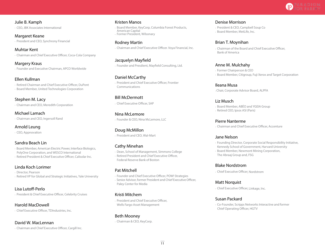

### Julie B. Kamph

• CEO, JBK Associates International

Margaret Keane • President and CEO, Synchrony Financial

Muhtar Kent • Chairman and Chief Executive Officer, Coca-Cola Company

Margery Kraus • Founder and Executive Chairman, APCO Worldwide

### Ellen Kullman

• Retired Chairman and Chief Executive Officer, DuPont • Board Member, United Technologies Corporation

Stephen M. Lacy • Chairman and CEO, Meredith Corporation

Michael Lamach • Chairman and CEO, Ingersoll Rand

Arnold Leung • CEO, Appnovation

### Sandra Beach Lin

• Board Member, American Electric Power, Interface Biologics, PolyOne Corporation, and WESCO International • Retired President & Chief Executive Officer, Calisolar Inc.

### Linda Koch Lorimer

- Director, Pearson
- Retired VP for Global and Strategic Initiatives, Yale University

# Lisa Lutoff-Perlo

• President & Chief Executive Officer, Celebrity Cruises

Harold MacDowell

• Chief Executive Officer, TDIndustries, Inc.

# David W. MacLennan

• Chairman and Chief Executive Officer, Cargill Inc.

### Kristen Manos

• Board Member, KeyCorp, Columbia Forest Products, American Capital • Former President, Wilsonary

### Rodney Martin

• Chairman and Chief Executive Officer. Voya Financial, Inc.

Jacquelyn Mayfield • Founder and Presdient, Mayfield Consulting, Ltd.

### Daniel McCarthy

• President and Chief Executive Officer, Frontier Communications

# Bill McDermott

• Chief Executive Officer, SAP

#### Nina McLemore • Founder & CEO, Nina McLemore, LLC

Doug McMillon • President and CEO, Wal-Mart

# Cathy Minehan

- Dean, School of Management, Simmons College
- Retired President and Chief Executive Officer, Federal Reserve Bank of Boston

# Pat Mitchell

• Founder and Chief Executive Officer, POW! Strategies • Senior Advisor, former President and Chief Executive Officer, Paley Center for Media

### Kristi Mitchem

• President and Chief Executive Officer, Wells Fargo Asset Management

### Beth Mooney

• Chairman & CEO, KeyCorp.

### Denise Morrison

- President & CEO, Campbell Soup Co
- Board Member, MetLife, Inc.

### Brian T. Moynihan

• Chairman of the Board and Chief Executive Officer, Bank of America

### Anne M. Mulchahy

- Former Chairperson & CEO
- Board Member, Citigroup, Fuji Xerox and Target Corporation

# Ileana Musa

• Chair, Corporate Advisor Board, ALPFA

# Liz Musch

- Board Member, ABÉO and YGEIA Group
- Retired CEO, Ipsos ASI (Paris)

### Pierre Nanterme

• Chairman and Chief Executive Officer, Accenture

### Jane Nelson

- Founding Director, Corporate Social Responsibility Initiative, Kennedy School of Government, Harvard University
- Board Member, Newmont Mining Corporation,
- The Abraaj Group and, FSG

### Blake Nordstrom

• Chief Executive Officer, Nordstrom

# Matt Norquist

• Chief Executive Officer, Linkage, Inc.

### Susan Packard

• Co-Founder, Scripps Networks Interactive and former Chief Operating Officer, HGTV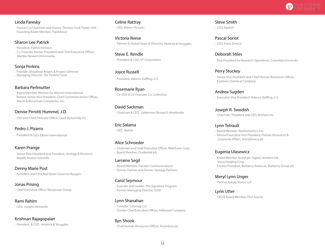

### Linda Paresky

• Former Co-Chairman and Owner, Thomas Cook Travel, USA • Founding Board Member, TripAdvisor

### Sharon Lee Patrick

- President, Patrick Partners
- Co-Founder, former President and Chief Executive Officer, Martha Stewart Omnimedia

### Sonja Perkins

- Founder, Broadway Angels & Project Glimmer
- Managing Director, The Perkins Fund

### Barbara Perlmutter

• Board Member, Women for Women International • Retired Senior Vice President, Chief Communications Officer, Marsh & McLennan Companies, Inc.

### Denise Pirrotti Hummel, J.D.

• CEO and Chief Diversity Officer, Lead Inclusively, Inc.

### Pedro J. Pizarro

• President & CEO, Edison International

### Karen Prange

• Senior Vice President and President, Urology & Women's Health, Boston Scientific

### Denny Marie Post

• President and CEO, Red Robin Gourmet Burgers

### Jonas Prising

• Chief Executive Office, Manpower Group

### Rami Rahim

• CEO, Juniper Networks

### Krishnan Rajagopaian

• President, & CEO, Heidrick & Struggles

#### Celine Rattray • CEO, Maven Pictures

Victoria Reese • Partner & Global Head of Diversity, Heidrick & Struggles

Steve E. Rendle • President & COO, VF Corporation

### Joyce Russell

• President, Adecco Staffing, U.S.

Rosemarie Ryan • Co-CEO & Co-Founder, Co: Collective

# David Sackman

• Chairman & CEO, Lieberman Research Worldwide

### Eric Salama

• CEO, Kantar

### Alice Schroeder

• Chairman and Chief Executive Officer, WebTuner Corp. • Board Member, Prudential plc

### Larraine Segil

- Board Member, Frontier Communications
- Former Partner and Owner, Vantage Partners

### Carol Seymour

• Founder and Leader, The Signature Program • Former Managing Director, G100

# Lynn Shanahan

- Founder, C2Group LLC
- Former Chief Executive Officer, Kellwood Company

# llyn Shook

• Chief Human Resources Officer, Accenture plc

Steve Smith • CEO, Equinix

Pascal Soriot • CEO, Astra Zeneca

Deborah Stiles • Vice President for Research Operations, Columbia University

Perry Stuckey • Senior Vice President and Chief Human Resources Officer, Eastman Chemical Company

Andrea Sugden • Executive Vice President, Adecco Staffing, U.S.

Joseph R. Swedish • Chairman, President and CEO, Anthem Inc.

### Lynn Tetrault

- Board Member, NeoGenomics, Inc.
- Retired Executive Vice President, Human Resources & Corporate Affairs, AstraZeneca plc

### Eugenia Ulasewicz

- Board Member, Bunzl plc, Signet Jewelers Ltd., Vince Holding Corp.
- Former President, Burberry Americas, Burberry Group plc

### Meryl Lynn Unger

• Partner, Katsky Korins LLP

### Lynn Utter

• CEO & Board Member, First Source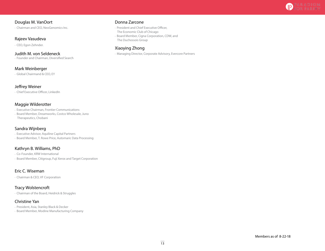

### Douglas M. VanOort

• Chairman and CEO, NeoGenomics Inc.

### Rajeev Vasudeva

• CEO, Egon Zehnder.

### Judith M. von Seldeneck

• Founder and Chairman, Diversified Search

### Mark Weinberger

• Global Chairmand & CEO, EY

### Jeffrey Weiner

• Chief Executive Officer, LinkedIn

### Maggie Wilderotter

- Executive Chairman, Frontier Communications
- Board Member, Dreamworks, Costco Wholesale, Juno Therapeutics, Chobani

### Sandra Wijnberg

• Executive Advisor, Aquiline Capital Partners

• Board Member, T. Rowe Price, Automaric Data Processing

### Kathryn B. Williams, PhD

• Co-Founder, KRW International

• Board Member, Citigroup, Fuji Xerox and Target Corporation

# Eric C. Wiseman

• Chairman & CEO, VF Corporation

### Tracy Wolstencroft

• Chairman of the Board, Heidrick & Struggles

### Christine Yan

• President, Asia, Stanley Black & Decker

• Board Member, Modine Manufacturing Company

# Donna Zarcone

- President and Chief Executive Officer, The Economic Club of Chicago
- Board Member, Cigna Corporation, CDW, and
- The Duchossois Group

# Xiaoying Zhong

• Managing Director, Corporate Advisory, Evercore Partners